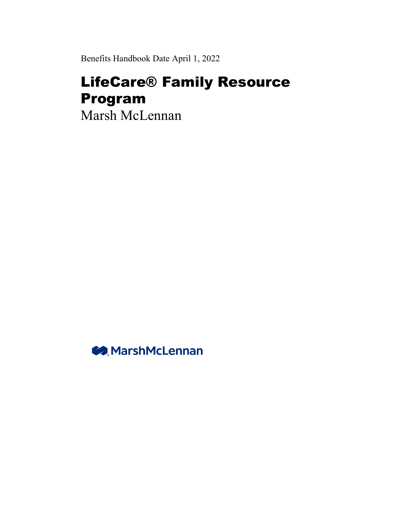Benefits Handbook Date April 1, 2022

# LifeCare® Family Resource Program

Marsh McLennan

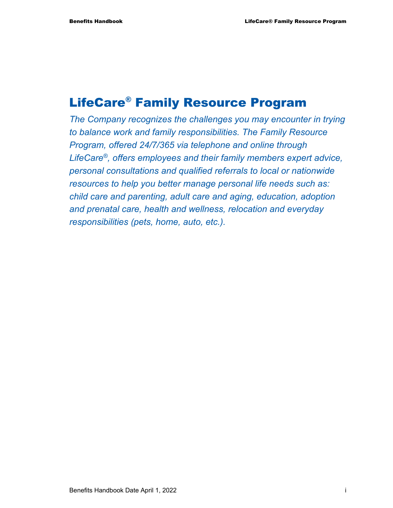## LifeCare® Family Resource Program

*The Company recognizes the challenges you may encounter in trying to balance work and family responsibilities. The Family Resource Program, offered 24/7/365 via telephone and online through LifeCare®, offers employees and their family members expert advice, personal consultations and qualified referrals to local or nationwide resources to help you better manage personal life needs such as: child care and parenting, adult care and aging, education, adoption and prenatal care, health and wellness, relocation and everyday responsibilities (pets, home, auto, etc.).*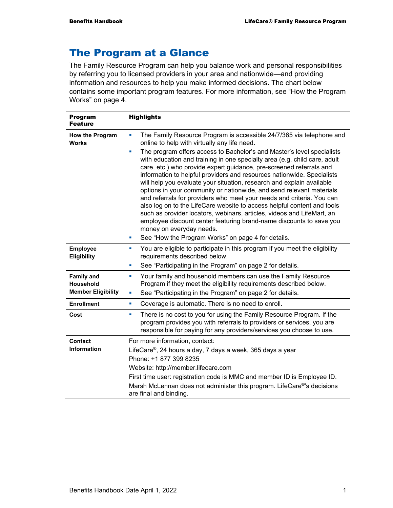## The Program at a Glance

The Family Resource Program can help you balance work and personal responsibilities by referring you to licensed providers in your area and nationwide—and providing information and resources to help you make informed decisions. The chart below contains some important program features. For more information, see "How the Program Works" on page 4.

| <b>Program</b><br><b>Feature</b>                            | <b>Highlights</b>                                                                                                                                                                                                                                                                                                                                                                                                                                                                                                                                                                                                                                                                                                                                                                                                                                                                                                                                                                      |  |  |  |  |
|-------------------------------------------------------------|----------------------------------------------------------------------------------------------------------------------------------------------------------------------------------------------------------------------------------------------------------------------------------------------------------------------------------------------------------------------------------------------------------------------------------------------------------------------------------------------------------------------------------------------------------------------------------------------------------------------------------------------------------------------------------------------------------------------------------------------------------------------------------------------------------------------------------------------------------------------------------------------------------------------------------------------------------------------------------------|--|--|--|--|
| <b>How the Program</b><br><b>Works</b>                      | The Family Resource Program is accessible 24/7/365 via telephone and<br>L.<br>online to help with virtually any life need.<br>The program offers access to Bachelor's and Master's level specialists<br>Ľ,<br>with education and training in one specialty area (e.g. child care, adult<br>care, etc.) who provide expert guidance, pre-screened referrals and<br>information to helpful providers and resources nationwide. Specialists<br>will help you evaluate your situation, research and explain available<br>options in your community or nationwide, and send relevant materials<br>and referrals for providers who meet your needs and criteria. You can<br>also log on to the LifeCare website to access helpful content and tools<br>such as provider locators, webinars, articles, videos and LifeMart, an<br>employee discount center featuring brand-name discounts to save you<br>money on everyday needs.<br>See "How the Program Works" on page 4 for details.<br>u, |  |  |  |  |
| <b>Employee</b><br><b>Eligibility</b>                       | You are eligible to participate in this program if you meet the eligibility<br>ш<br>requirements described below.<br>See "Participating in the Program" on page 2 for details.<br>ш                                                                                                                                                                                                                                                                                                                                                                                                                                                                                                                                                                                                                                                                                                                                                                                                    |  |  |  |  |
| <b>Family and</b><br>Household<br><b>Member Eligibility</b> | Your family and household members can use the Family Resource<br>ш<br>Program if they meet the eligibility requirements described below.<br>See "Participating in the Program" on page 2 for details.<br>U,                                                                                                                                                                                                                                                                                                                                                                                                                                                                                                                                                                                                                                                                                                                                                                            |  |  |  |  |
| <b>Enrollment</b>                                           | Coverage is automatic. There is no need to enroll.<br>ш                                                                                                                                                                                                                                                                                                                                                                                                                                                                                                                                                                                                                                                                                                                                                                                                                                                                                                                                |  |  |  |  |
| Cost                                                        | There is no cost to you for using the Family Resource Program. If the<br>L,<br>program provides you with referrals to providers or services, you are<br>responsible for paying for any providers/services you choose to use.                                                                                                                                                                                                                                                                                                                                                                                                                                                                                                                                                                                                                                                                                                                                                           |  |  |  |  |
| <b>Contact</b><br><b>Information</b>                        | For more information, contact:<br>LifeCare <sup>®</sup> , 24 hours a day, 7 days a week, 365 days a year<br>Phone: +1 877 399 8235<br>Website: http://member.lifecare.com<br>First time user: registration code is MMC and member ID is Employee ID.<br>Marsh McLennan does not administer this program. LifeCare®'s decisions<br>are final and binding.                                                                                                                                                                                                                                                                                                                                                                                                                                                                                                                                                                                                                               |  |  |  |  |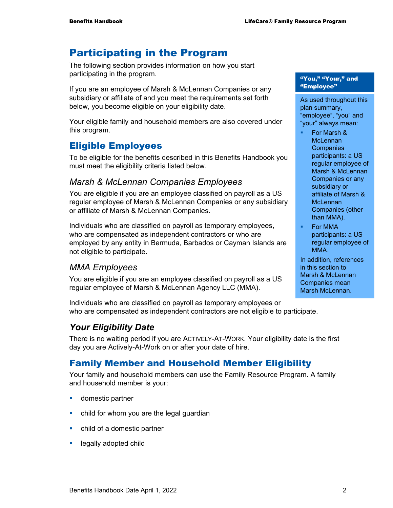## Participating in the Program

The following section provides information on how you start participating in the program.

If you are an employee of Marsh & McLennan Companies or any subsidiary or affiliate of and you meet the requirements set forth below, you become eligible on your eligibility date.

Your eligible family and household members are also covered under this program.

#### Eligible Employees

To be eligible for the benefits described in this Benefits Handbook you must meet the eligibility criteria listed below.

#### *Marsh & McLennan Companies Employees*

You are eligible if you are an employee classified on payroll as a US regular employee of Marsh & McLennan Companies or any subsidiary or affiliate of Marsh & McLennan Companies.

Individuals who are classified on payroll as temporary employees, who are compensated as independent contractors or who are employed by any entity in Bermuda, Barbados or Cayman Islands are not eligible to participate.

## *MMA Employees*

You are eligible if you are an employee classified on payroll as a US regular employee of Marsh & McLennan Agency LLC (MMA).

Individuals who are classified on payroll as temporary employees or who are compensated as independent contractors are not eligible to participate.

## *Your Eligibility Date*

There is no waiting period if you are ACTIVELY-AT-WORK. Your eligibility date is the first day you are Actively-At-Work on or after your date of hire.

## Family Member and Household Member Eligibility

Your family and household members can use the Family Resource Program. A family and household member is your:

- **domestic partner**
- child for whom you are the legal guardian
- child of a domestic partner
- **Example 2** legally adopted child

"You," "Your," and "Employee"

As used throughout this plan summary, "employee", "you" and "your" always mean:

- For Marsh & **McLennan Companies** participants: a US regular employee of Marsh & McLennan Companies or any subsidiary or affiliate of Marsh & **McLennan** Companies (other than MMA).
- For MMA participants: a US regular employee of MMA.

In addition, references in this section to Marsh & McLennan Companies mean Marsh McLennan.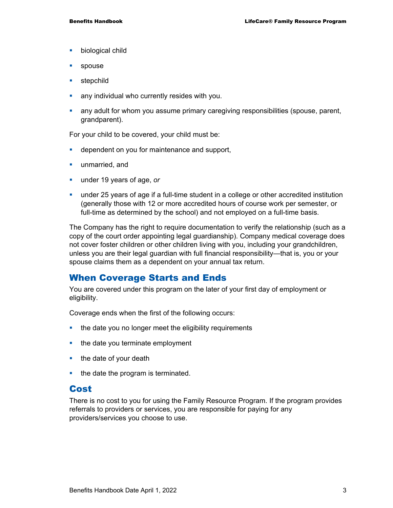- **•** biological child
- **spouse**
- **stepchild**
- **any individual who currently resides with you.**
- any adult for whom you assume primary caregiving responsibilities (spouse, parent, grandparent).

For your child to be covered, your child must be:

- **dependent on you for maintenance and support,**
- **unmarried, and**
- under 19 years of age, *or*
- under 25 years of age if a full-time student in a college or other accredited institution (generally those with 12 or more accredited hours of course work per semester, or full-time as determined by the school) and not employed on a full-time basis.

The Company has the right to require documentation to verify the relationship (such as a copy of the court order appointing legal guardianship). Company medical coverage does not cover foster children or other children living with you, including your grandchildren, unless you are their legal guardian with full financial responsibility—that is, you or your spouse claims them as a dependent on your annual tax return.

#### When Coverage Starts and Ends

You are covered under this program on the later of your first day of employment or eligibility.

Coverage ends when the first of the following occurs:

- the date you no longer meet the eligibility requirements
- $\blacksquare$  the date you terminate employment
- $\blacksquare$  the date of your death
- $\blacksquare$  the date the program is terminated.

#### Cost

There is no cost to you for using the Family Resource Program. If the program provides referrals to providers or services, you are responsible for paying for any providers/services you choose to use.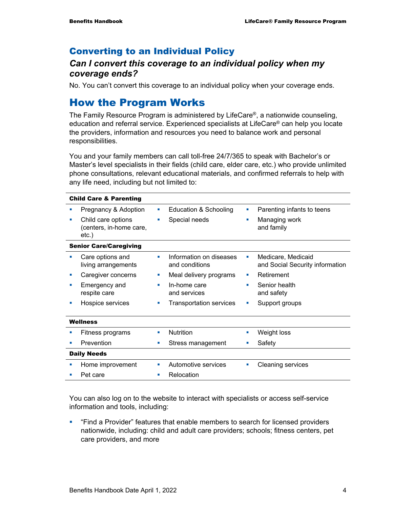## Converting to an Individual Policy

#### *Can I convert this coverage to an individual policy when my coverage ends?*

No. You can't convert this coverage to an individual policy when your coverage ends.

## How the Program Works

The Family Resource Program is administered by LifeCare®, a nationwide counseling, education and referral service. Experienced specialists at LifeCare® can help you locate the providers, information and resources you need to balance work and personal responsibilities.

You and your family members can call toll-free 24/7/365 to speak with Bachelor's or Master's level specialists in their fields (child care, elder care, etc.) who provide unlimited phone consultations, relevant educational materials, and confirmed referrals to help with any life need, including but not limited to:

| <b>Child Care &amp; Parenting</b> |                                                           |                             |                                           |    |                                                       |  |
|-----------------------------------|-----------------------------------------------------------|-----------------------------|-------------------------------------------|----|-------------------------------------------------------|--|
|                                   | Pregnancy & Adoption                                      | ш                           | Education & Schooling                     | ×  | Parenting infants to teens                            |  |
|                                   | Child care options<br>(centers, in-home care,<br>$etc.$ ) | п                           | Special needs                             | п  | Managing work<br>and family                           |  |
| <b>Senior Care/Caregiving</b>     |                                                           |                             |                                           |    |                                                       |  |
|                                   | Care options and<br>living arrangements                   | ш                           | Information on diseases<br>and conditions | ш  | Medicare, Medicaid<br>and Social Security information |  |
|                                   | Caregiver concerns                                        | $\mathcal{L}_{\mathcal{A}}$ | Meal delivery programs                    | ×  | Retirement                                            |  |
| п                                 | Emergency and<br>respite care                             | a.                          | In-home care<br>and services              | ٠  | Senior health<br>and safety                           |  |
|                                   | Hospice services                                          | п                           | <b>Transportation services</b>            | ×  | Support groups                                        |  |
| Wellness                          |                                                           |                             |                                           |    |                                                       |  |
|                                   | Fitness programs                                          | <b>COL</b>                  | <b>Nutrition</b>                          | ×  | Weight loss                                           |  |
|                                   | Prevention                                                | <b>COL</b>                  | Stress management                         |    | Safety                                                |  |
| <b>Daily Needs</b>                |                                                           |                             |                                           |    |                                                       |  |
| ш                                 | Home improvement                                          | a.                          | Automotive services                       | L, | <b>Cleaning services</b>                              |  |
|                                   | Pet care                                                  |                             | Relocation                                |    |                                                       |  |

You can also log on to the website to interact with specialists or access self-service information and tools, including:

 "Find a Provider" features that enable members to search for licensed providers nationwide, including: child and adult care providers; schools; fitness centers, pet care providers, and more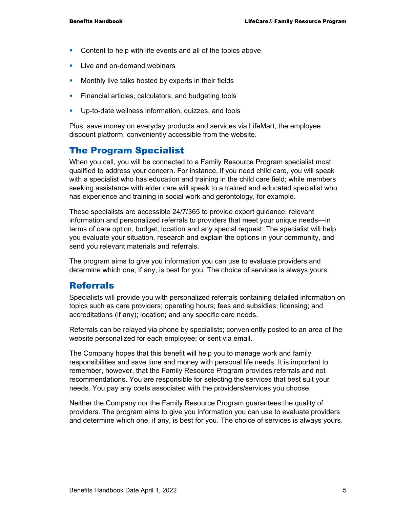- **Content to help with life events and all of the topics above**
- **Live and on-demand webinars**
- **Monthly live talks hosted by experts in their fields**
- **Financial articles, calculators, and budgeting tools**
- Up-to-date wellness information, quizzes, and tools

Plus, save money on everyday products and services via LifeMart, the employee discount platform, conveniently accessible from the website.

## The Program Specialist

When you call, you will be connected to a Family Resource Program specialist most qualified to address your concern. For instance, if you need child care, you will speak with a specialist who has education and training in the child care field; while members seeking assistance with elder care will speak to a trained and educated specialist who has experience and training in social work and gerontology, for example.

These specialists are accessible 24/7/365 to provide expert guidance, relevant information and personalized referrals to providers that meet your unique needs—in terms of care option, budget, location and any special request. The specialist will help you evaluate your situation, research and explain the options in your community, and send you relevant materials and referrals.

The program aims to give you information you can use to evaluate providers and determine which one, if any, is best for you. The choice of services is always yours.

#### Referrals

Specialists will provide you with personalized referrals containing detailed information on topics such as care providers; operating hours; fees and subsidies; licensing; and accreditations (if any); location; and any specific care needs.

Referrals can be relayed via phone by specialists; conveniently posted to an area of the website personalized for each employee; or sent via email.

The Company hopes that this benefit will help you to manage work and family responsibilities and save time and money with personal life needs. It is important to remember, however, that the Family Resource Program provides referrals and not recommendations. You are responsible for selecting the services that best suit your needs. You pay any costs associated with the providers/services you choose.

Neither the Company nor the Family Resource Program guarantees the quality of providers. The program aims to give you information you can use to evaluate providers and determine which one, if any, is best for you. The choice of services is always yours.